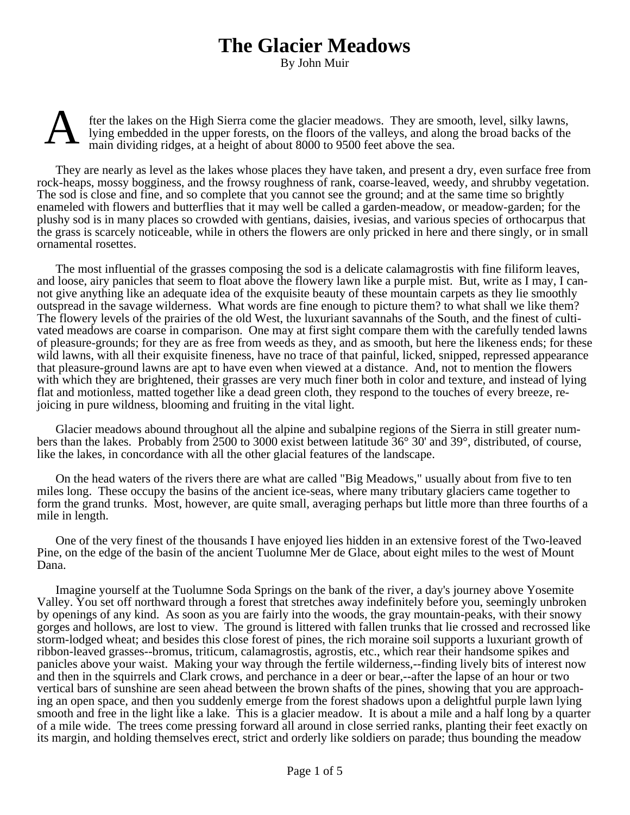## **The Glacier Meadows**

By John Muir



fter the lakes on the High Sierra come the glacier meadows. They are smooth, level, silky lawns, lying embedded in the upper forests, on the floors of the valleys, and along the broad backs of the main dividing ridges, at a height of about 8000 to 9500 feet above the sea.

They are nearly as level as the lakes whose places they have taken, and present a dry, even surface free from rock-heaps, mossy bogginess, and the frowsy roughness of rank, coarse-leaved, weedy, and shrubby vegetation. The sod is close and fine, and so complete that you cannot see the ground; and at the same time so brightly enameled with flowers and butterflies that it may well be called a garden-meadow, or meadow-garden; for the plushy sod is in many places so crowded with gentians, daisies, ivesias, and various species of orthocarpus that the grass is scarcely noticeable, while in others the flowers are only pricked in here and there singly, or in small ornamental rosettes.

The most influential of the grasses composing the sod is a delicate calamagrostis with fine filiform leaves, and loose, airy panicles that seem to float above the flowery lawn like a purple mist. But, write as I may, I cannot give anything like an adequate idea of the exquisite beauty of these mountain carpets as they lie smoothly outspread in the savage wilderness. What words are fine enough to picture them? to what shall we like them? The flowery levels of the prairies of the old West, the luxuriant savannahs of the South, and the finest of cultivated meadows are coarse in comparison. One may at first sight compare them with the carefully tended lawns of pleasure-grounds; for they are as free from weeds as they, and as smooth, but here the likeness ends; for these wild lawns, with all their exquisite fineness, have no trace of that painful, licked, snipped, repressed appearance that pleasure-ground lawns are apt to have even when viewed at a distance. And, not to mention the flowers with which they are brightened, their grasses are very much finer both in color and texture, and instead of lying flat and motionless, matted together like a dead green cloth, they respond to the touches of every breeze, rejoicing in pure wildness, blooming and fruiting in the vital light.

Glacier meadows abound throughout all the alpine and subalpine regions of the Sierra in still greater numbers than the lakes. Probably from 2500 to 3000 exist between latitude 36° 30' and 39°, distributed, of course, like the lakes, in concordance with all the other glacial features of the landscape.

On the head waters of the rivers there are what are called "Big Meadows," usually about from five to ten miles long. These occupy the basins of the ancient ice-seas, where many tributary glaciers came together to form the grand trunks. Most, however, are quite small, averaging perhaps but little more than three fourths of a mile in length.

One of the very finest of the thousands I have enjoyed lies hidden in an extensive forest of the Two-leaved Pine, on the edge of the basin of the ancient Tuolumne Mer de Glace, about eight miles to the west of Mount Dana.

Imagine yourself at the Tuolumne Soda Springs on the bank of the river, a day's journey above Yosemite Valley. You set off northward through a forest that stretches away indefinitely before you, seemingly unbroken by openings of any kind. As soon as you are fairly into the woods, the gray mountain-peaks, with their snowy gorges and hollows, are lost to view. The ground is littered with fallen trunks that lie crossed and recrossed like storm-lodged wheat; and besides this close forest of pines, the rich moraine soil supports a luxuriant growth of ribbon-leaved grasses--bromus, triticum, calamagrostis, agrostis, etc., which rear their handsome spikes and panicles above your waist. Making your way through the fertile wilderness,--finding lively bits of interest now and then in the squirrels and Clark crows, and perchance in a deer or bear,--after the lapse of an hour or two vertical bars of sunshine are seen ahead between the brown shafts of the pines, showing that you are approaching an open space, and then you suddenly emerge from the forest shadows upon a delightful purple lawn lying smooth and free in the light like a lake. This is a glacier meadow. It is about a mile and a half long by a quarter of a mile wide. The trees come pressing forward all around in close serried ranks, planting their feet exactly on its margin, and holding themselves erect, strict and orderly like soldiers on parade; thus bounding the meadow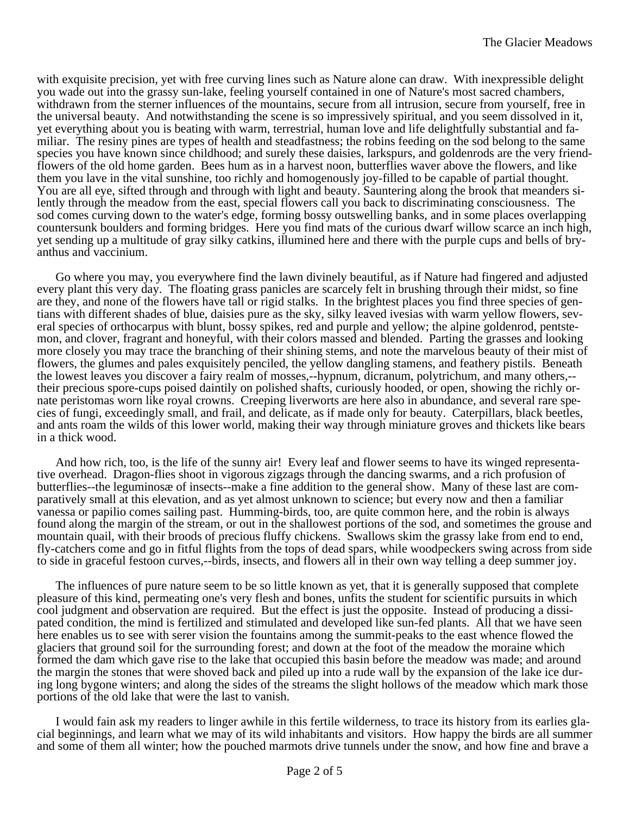with exquisite precision, yet with free curving lines such as Nature alone can draw. With inexpressible delight you wade out into the grassy sun-lake, feeling yourself contained in one of Nature's most sacred chambers, withdrawn from the sterner influences of the mountains, secure from all intrusion, secure from yourself, free in the universal beauty. And notwithstanding the scene is so impressively spiritual, and you seem dissolved in it, yet everything about you is beating with warm, terrestrial, human love and life delightfully substantial and familiar. The resiny pines are types of health and steadfastness; the robins feeding on the sod belong to the same species you have known since childhood; and surely these daisies, larkspurs, and goldenrods are the very friendflowers of the old home garden. Bees hum as in a harvest noon, butterflies waver above the flowers, and like them you lave in the vital sunshine, too richly and homogenously joy-filled to be capable of partial thought. You are all eye, sifted through and through with light and beauty. Sauntering along the brook that meanders silently through the meadow from the east, special flowers call you back to discriminating consciousness. The sod comes curving down to the water's edge, forming bossy outswelling banks, and in some places overlapping countersunk boulders and forming bridges. Here you find mats of the curious dwarf willow scarce an inch high, yet sending up a multitude of gray silky catkins, illumined here and there with the purple cups and bells of bryanthus and vaccinium.

Go where you may, you everywhere find the lawn divinely beautiful, as if Nature had fingered and adjusted every plant this very day. The floating grass panicles are scarcely felt in brushing through their midst, so fine are they, and none of the flowers have tall or rigid stalks. In the brightest places you find three species of gentians with different shades of blue, daisies pure as the sky, silky leaved ivesias with warm yellow flowers, several species of orthocarpus with blunt, bossy spikes, red and purple and yellow; the alpine goldenrod, pentstemon, and clover, fragrant and honeyful, with their colors massed and blended. Parting the grasses and looking more closely you may trace the branching of their shining stems, and note the marvelous beauty of their mist of flowers, the glumes and pales exquisitely penciled, the yellow dangling stamens, and feathery pistils. Beneath the lowest leaves you discover a fairy realm of mosses,--hypnum, dicranum, polytrichum, and many others,- their precious spore-cups poised daintily on polished shafts, curiously hooded, or open, showing the richly ornate peristomas worn like royal crowns. Creeping liverworts are here also in abundance, and several rare species of fungi, exceedingly small, and frail, and delicate, as if made only for beauty. Caterpillars, black beetles, and ants roam the wilds of this lower world, making their way through miniature groves and thickets like bears in a thick wood.

And how rich, too, is the life of the sunny air! Every leaf and flower seems to have its winged representative overhead. Dragon-flies shoot in vigorous zigzags through the dancing swarms, and a rich profusion of butterflies--the leguminosæ of insects--make a fine addition to the general show. Many of these last are comparatively small at this elevation, and as yet almost unknown to science; but every now and then a familiar vanessa or papilio comes sailing past. Humming-birds, too, are quite common here, and the robin is always found along the margin of the stream, or out in the shallowest portions of the sod, and sometimes the grouse and mountain quail, with their broods of precious fluffy chickens. Swallows skim the grassy lake from end to end, fly-catchers come and go in fitful flights from the tops of dead spars, while woodpeckers swing across from side to side in graceful festoon curves,--birds, insects, and flowers all in their own way telling a deep summer joy.

The influences of pure nature seem to be so little known as yet, that it is generally supposed that complete pleasure of this kind, permeating one's very flesh and bones, unfits the student for scientific pursuits in which cool judgment and observation are required. But the effect is just the opposite. Instead of producing a dissipated condition, the mind is fertilized and stimulated and developed like sun-fed plants. All that we have seen here enables us to see with serer vision the fountains among the summit-peaks to the east whence flowed the glaciers that ground soil for the surrounding forest; and down at the foot of the meadow the moraine which formed the dam which gave rise to the lake that occupied this basin before the meadow was made; and around the margin the stones that were shoved back and piled up into a rude wall by the expansion of the lake ice during long bygone winters; and along the sides of the streams the slight hollows of the meadow which mark those portions of the old lake that were the last to vanish.

I would fain ask my readers to linger awhile in this fertile wilderness, to trace its history from its earlies glacial beginnings, and learn what we may of its wild inhabitants and visitors. How happy the birds are all summer and some of them all winter; how the pouched marmots drive tunnels under the snow, and how fine and brave a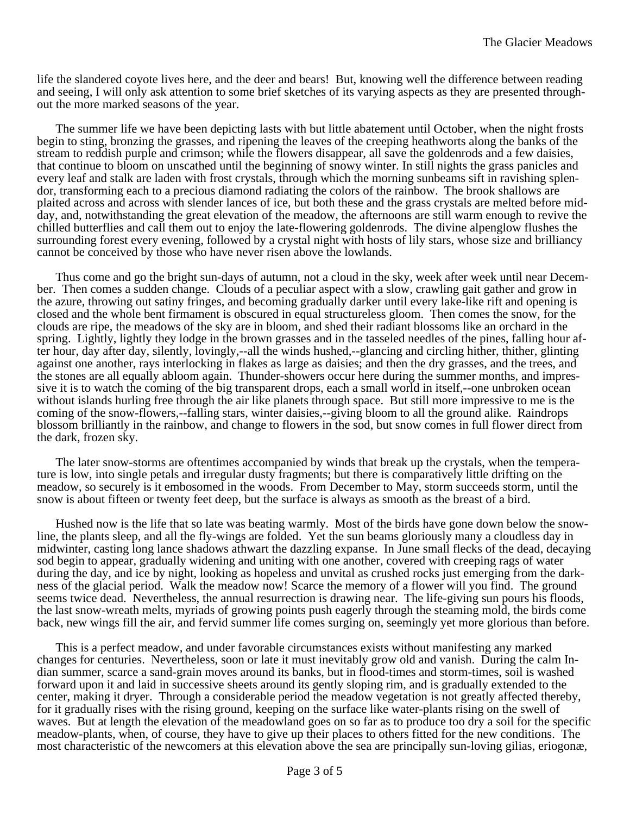life the slandered coyote lives here, and the deer and bears! But, knowing well the difference between reading and seeing, I will only ask attention to some brief sketches of its varying aspects as they are presented throughout the more marked seasons of the year.

The summer life we have been depicting lasts with but little abatement until October, when the night frosts begin to sting, bronzing the grasses, and ripening the leaves of the creeping heathworts along the banks of the stream to reddish purple and crimson; while the flowers disappear, all save the goldenrods and a few daisies, that continue to bloom on unscathed until the beginning of snowy winter. In still nights the grass panicles and every leaf and stalk are laden with frost crystals, through which the morning sunbeams sift in ravishing splendor, transforming each to a precious diamond radiating the colors of the rainbow. The brook shallows are plaited across and across with slender lances of ice, but both these and the grass crystals are melted before midday, and, notwithstanding the great elevation of the meadow, the afternoons are still warm enough to revive the chilled butterflies and call them out to enjoy the late-flowering goldenrods. The divine alpenglow flushes the surrounding forest every evening, followed by a crystal night with hosts of lily stars, whose size and brilliancy cannot be conceived by those who have never risen above the lowlands.

Thus come and go the bright sun-days of autumn, not a cloud in the sky, week after week until near December. Then comes a sudden change. Clouds of a peculiar aspect with a slow, crawling gait gather and grow in the azure, throwing out satiny fringes, and becoming gradually darker until every lake-like rift and opening is closed and the whole bent firmament is obscured in equal structureless gloom. Then comes the snow, for the clouds are ripe, the meadows of the sky are in bloom, and shed their radiant blossoms like an orchard in the spring. Lightly, lightly they lodge in the brown grasses and in the tasseled needles of the pines, falling hour after hour, day after day, silently, lovingly,--all the winds hushed,--glancing and circling hither, thither, glinting against one another, rays interlocking in flakes as large as daisies; and then the dry grasses, and the trees, and the stones are all equally abloom again. Thunder-showers occur here during the summer months, and impressive it is to watch the coming of the big transparent drops, each a small world in itself,--one unbroken ocean without islands hurling free through the air like planets through space. But still more impressive to me is the coming of the snow-flowers,--falling stars, winter daisies,--giving bloom to all the ground alike. Raindrops blossom brilliantly in the rainbow, and change to flowers in the sod, but snow comes in full flower direct from the dark, frozen sky.

The later snow-storms are oftentimes accompanied by winds that break up the crystals, when the temperature is low, into single petals and irregular dusty fragments; but there is comparatively little drifting on the meadow, so securely is it embosomed in the woods. From December to May, storm succeeds storm, until the snow is about fifteen or twenty feet deep, but the surface is always as smooth as the breast of a bird.

Hushed now is the life that so late was beating warmly. Most of the birds have gone down below the snowline, the plants sleep, and all the fly-wings are folded. Yet the sun beams gloriously many a cloudless day in midwinter, casting long lance shadows athwart the dazzling expanse. In June small flecks of the dead, decaying sod begin to appear, gradually widening and uniting with one another, covered with creeping rags of water during the day, and ice by night, looking as hopeless and unvital as crushed rocks just emerging from the darkness of the glacial period. Walk the meadow now! Scarce the memory of a flower will you find. The ground seems twice dead. Nevertheless, the annual resurrection is drawing near. The life-giving sun pours his floods, the last snow-wreath melts, myriads of growing points push eagerly through the steaming mold, the birds come back, new wings fill the air, and fervid summer life comes surging on, seemingly yet more glorious than before.

This is a perfect meadow, and under favorable circumstances exists without manifesting any marked changes for centuries. Nevertheless, soon or late it must inevitably grow old and vanish. During the calm Indian summer, scarce a sand-grain moves around its banks, but in flood-times and storm-times, soil is washed forward upon it and laid in successive sheets around its gently sloping rim, and is gradually extended to the center, making it dryer. Through a considerable period the meadow vegetation is not greatly affected thereby, for it gradually rises with the rising ground, keeping on the surface like water-plants rising on the swell of waves. But at length the elevation of the meadowland goes on so far as to produce too dry a soil for the specific meadow-plants, when, of course, they have to give up their places to others fitted for the new conditions. The most characteristic of the newcomers at this elevation above the sea are principally sun-loving gilias, eriogonæ,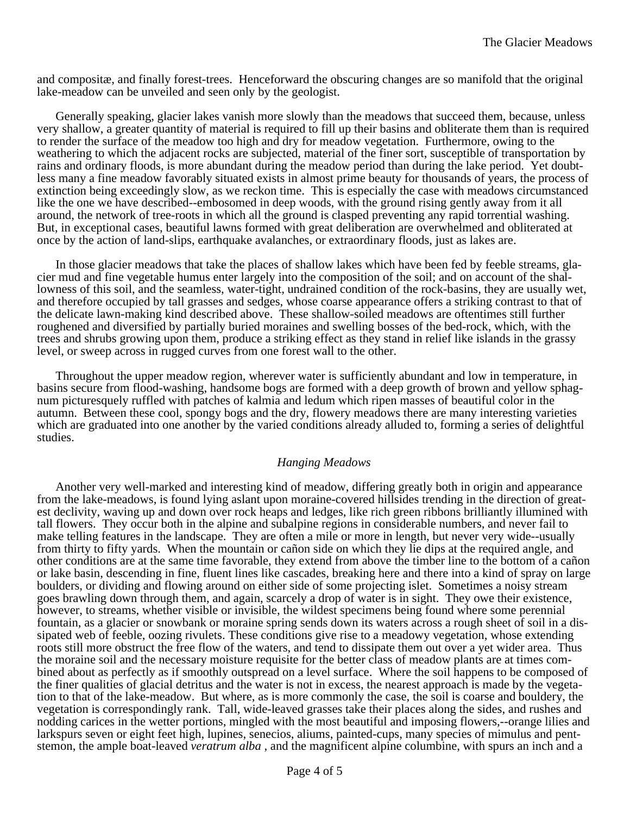and compositæ, and finally forest-trees. Henceforward the obscuring changes are so manifold that the original lake-meadow can be unveiled and seen only by the geologist.

Generally speaking, glacier lakes vanish more slowly than the meadows that succeed them, because, unless very shallow, a greater quantity of material is required to fill up their basins and obliterate them than is required to render the surface of the meadow too high and dry for meadow vegetation. Furthermore, owing to the weathering to which the adjacent rocks are subjected, material of the finer sort, susceptible of transportation by rains and ordinary floods, is more abundant during the meadow period than during the lake period. Yet doubtless many a fine meadow favorably situated exists in almost prime beauty for thousands of years, the process of extinction being exceedingly slow, as we reckon time. This is especially the case with meadows circumstanced like the one we have described--embosomed in deep woods, with the ground rising gently away from it all around, the network of tree-roots in which all the ground is clasped preventing any rapid torrential washing. But, in exceptional cases, beautiful lawns formed with great deliberation are overwhelmed and obliterated at once by the action of land-slips, earthquake avalanches, or extraordinary floods, just as lakes are.

In those glacier meadows that take the places of shallow lakes which have been fed by feeble streams, glacier mud and fine vegetable humus enter largely into the composition of the soil; and on account of the shallowness of this soil, and the seamless, water-tight, undrained condition of the rock-basins, they are usually wet, and therefore occupied by tall grasses and sedges, whose coarse appearance offers a striking contrast to that of the delicate lawn-making kind described above. These shallow-soiled meadows are oftentimes still further roughened and diversified by partially buried moraines and swelling bosses of the bed-rock, which, with the trees and shrubs growing upon them, produce a striking effect as they stand in relief like islands in the grassy level, or sweep across in rugged curves from one forest wall to the other.

Throughout the upper meadow region, wherever water is sufficiently abundant and low in temperature, in basins secure from flood-washing, handsome bogs are formed with a deep growth of brown and yellow sphagnum picturesquely ruffled with patches of kalmia and ledum which ripen masses of beautiful color in the autumn. Between these cool, spongy bogs and the dry, flowery meadows there are many interesting varieties which are graduated into one another by the varied conditions already alluded to, forming a series of delightful studies.

## *Hanging Meadows*

Another very well-marked and interesting kind of meadow, differing greatly both in origin and appearance from the lake-meadows, is found lying aslant upon moraine-covered hillsides trending in the direction of greatest declivity, waving up and down over rock heaps and ledges, like rich green ribbons brilliantly illumined with tall flowers. They occur both in the alpine and subalpine regions in considerable numbers, and never fail to make telling features in the landscape. They are often a mile or more in length, but never very wide--usually from thirty to fifty yards. When the mountain or cañon side on which they lie dips at the required angle, and other conditions are at the same time favorable, they extend from above the timber line to the bottom of a cañon or lake basin, descending in fine, fluent lines like cascades, breaking here and there into a kind of spray on large boulders, or dividing and flowing around on either side of some projecting islet. Sometimes a noisy stream goes brawling down through them, and again, scarcely a drop of water is in sight. They owe their existence, however, to streams, whether visible or invisible, the wildest specimens being found where some perennial fountain, as a glacier or snowbank or moraine spring sends down its waters across a rough sheet of soil in a dissipated web of feeble, oozing rivulets. These conditions give rise to a meadowy vegetation, whose extending roots still more obstruct the free flow of the waters, and tend to dissipate them out over a yet wider area. Thus the moraine soil and the necessary moisture requisite for the better class of meadow plants are at times combined about as perfectly as if smoothly outspread on a level surface. Where the soil happens to be composed of the finer qualities of glacial detritus and the water is not in excess, the nearest approach is made by the vegetation to that of the lake-meadow. But where, as is more commonly the case, the soil is coarse and bouldery, the vegetation is correspondingly rank. Tall, wide-leaved grasses take their places along the sides, and rushes and nodding carices in the wetter portions, mingled with the most beautiful and imposing flowers,--orange lilies and larkspurs seven or eight feet high, lupines, senecios, aliums, painted-cups, many species of mimulus and pentstemon, the ample boat-leaved *veratrum alba* , and the magnificent alpine columbine, with spurs an inch and a